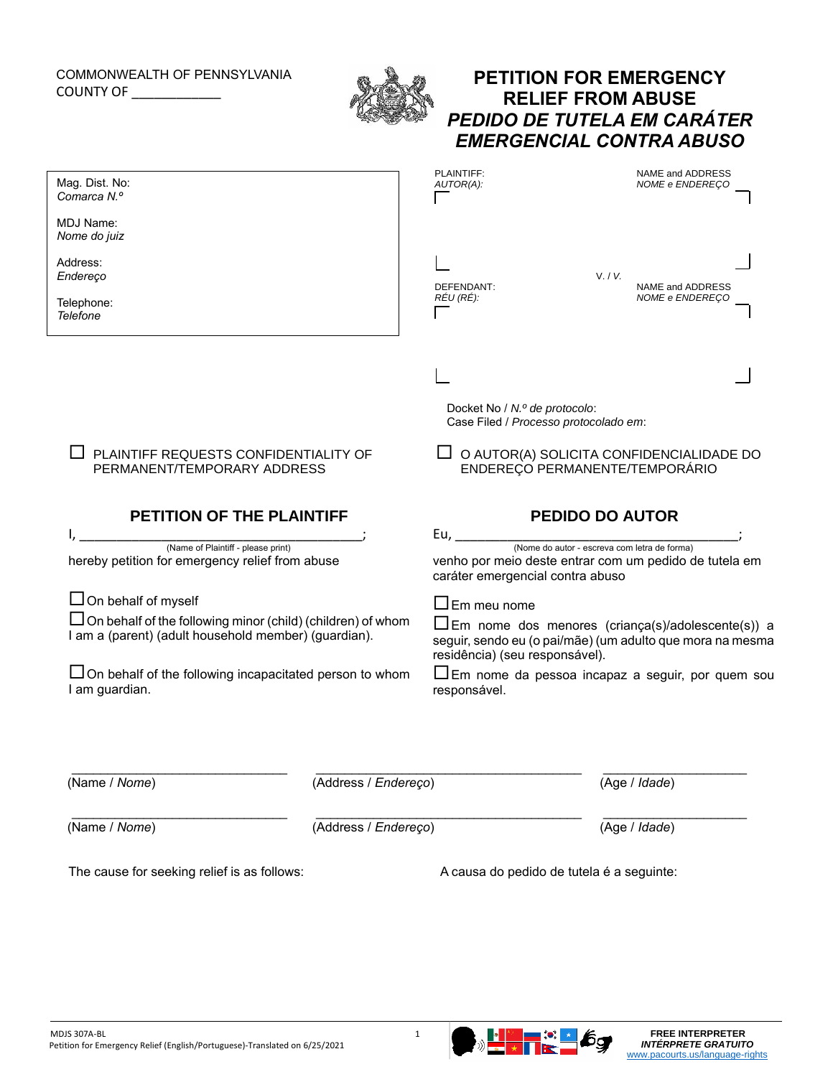## COMMONWEALTH OF PENNSYLVANIA COUNTY OF \_\_\_\_\_\_\_\_\_\_\_\_



## **PETITION FOR EMERGENCY RELIEF FROM ABUSE** *PEDIDO DE TUTELA EM CARÁTER EMERGENCIAL CONTRA ABUSO*

| Mag. Dist. No:<br>Comarca N.º                                                                                              |                      | PLAINTIFF:<br>AUTOR(A):                                                                                                                                                    | NAME and ADDRESS<br>NOME e ENDEREÇO |
|----------------------------------------------------------------------------------------------------------------------------|----------------------|----------------------------------------------------------------------------------------------------------------------------------------------------------------------------|-------------------------------------|
| MDJ Name:<br>Nome do juiz                                                                                                  |                      |                                                                                                                                                                            |                                     |
| Address:<br>Endereço                                                                                                       |                      | DEFENDANT:                                                                                                                                                                 | V. / V.<br>NAME and ADDRESS         |
| Telephone:<br><b>Telefone</b>                                                                                              |                      | REU (RE):                                                                                                                                                                  | NOME e ENDEREÇO                     |
|                                                                                                                            |                      |                                                                                                                                                                            |                                     |
|                                                                                                                            |                      | Docket No / N.º de protocolo:<br>Case Filed / Processo protocolado em:                                                                                                     |                                     |
| PLAINTIFF REQUESTS CONFIDENTIALITY OF<br>PERMANENT/TEMPORARY ADDRESS                                                       |                      | $\Box$ O AUTOR(A) SOLICITA CONFIDENCIALIDADE DO<br>ENDEREÇO PERMANENTE/TEMPORÁRIO                                                                                          |                                     |
| PETITION OF THE PLAINTIFF                                                                                                  |                      |                                                                                                                                                                            | <b>PEDIDO DO AUTOR</b>              |
| (Name of Plaintiff - please print)<br>hereby petition for emergency relief from abuse                                      |                      | Eu, $\overline{\phantom{0}}$<br>(Nome do autor - escreva com letra de forma)<br>venho por meio deste entrar com um pedido de tutela em<br>caráter emergencial contra abuso |                                     |
| $\Box$ On behalf of myself                                                                                                 |                      | $\Box$ Em meu nome                                                                                                                                                         |                                     |
| $\Box$ On behalf of the following minor (child) (children) of whom<br>I am a (parent) (adult household member) (guardian). |                      | $\Box$ Em nome dos menores (criança(s)/adolescente(s)) a<br>seguir, sendo eu (o pai/mãe) (um adulto que mora na mesma<br>residência) (seu responsável).                    |                                     |
| □ On behalf of the following incapacitated person to whom<br>I am guardian.                                                |                      | $\Box$ Em nome da pessoa incapaz a seguir, por quem sou<br>responsável.                                                                                                    |                                     |
|                                                                                                                            |                      |                                                                                                                                                                            |                                     |
| (Name / Nome)                                                                                                              | (Address / Endereço) |                                                                                                                                                                            | (Age / Idade)                       |
| (Name / Nome)                                                                                                              | (Address / Endereço) |                                                                                                                                                                            | (Age / Idade)                       |
| The cause for seeking relief is as follows:                                                                                |                      | A causa do pedido de tutela é a seguinte:                                                                                                                                  |                                     |
|                                                                                                                            |                      |                                                                                                                                                                            |                                     |